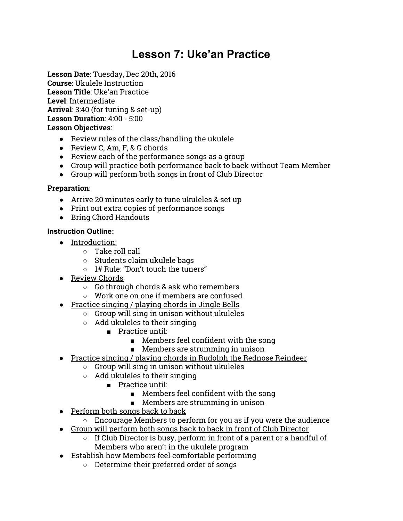# **Lesson 7: Uke'an Practice**

**Lesson Date**: Tuesday, Dec 20th, 2016 **Course**: Ukulele Instruction **Lesson Title**: Uke'an Practice **Level**: Intermediate **Arrival**: 3:40 (for tuning & set-up) **Lesson Duration**: 4:00 - 5:00 **Lesson Objectives**:

- Review rules of the class/handling the ukulele
- Review C, Am, F, & G chords
- Review each of the performance songs as a group
- Group will practice both performance back to back without Team Member
- Group will perform both songs in front of Club Director

### **Preparation**:

- Arrive 20 minutes early to tune ukuleles & set up
- Print out extra copies of performance songs
- Bring Chord Handouts

### **Instruction Outline:**

- Introduction:
	- Take roll call
	- Students claim ukulele bags
	- 1# Rule: "Don't touch the tuners"
- Review Chords
	- Go through chords & ask who remembers
	- Work one on one if members are confused
- Practice singing / playing chords in Jingle Bells
	- Group will sing in unison without ukuleles
	- Add ukuleles to their singing
		- Practice until:
			- Members feel confident with the song
			- Members are strumming in unison
- Practice singing / playing chords in Rudolph the Rednose Reindeer
	- Group will sing in unison without ukuleles
	- $\circ$  Add ukuleles to their singing
		- Practice until:
			- Members feel confident with the song
			- Members are strumming in unison
- Perform both songs back to back
	- $\circ$  Encourage Members to perform for you as if you were the audience
- Group will perform both songs back to back in front of Club Director
	- If Club Director is busy, perform in front of a parent or a handful of Members who aren't in the ukulele program
- Establish how Members feel comfortable performing
	- Determine their preferred order of songs